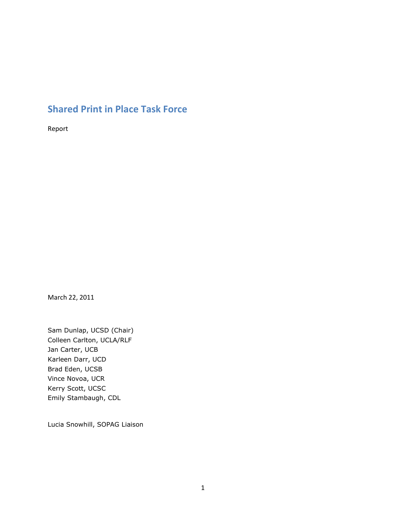## **Shared Print in Place Task Force**

Report

March 22, 2011

Sam Dunlap, UCSD (Chair) Colleen Carlton, UCLA/RLF Jan Carter, UCB Karleen Darr, UCD Brad Eden, UCSB Vince Novoa, UCR Kerry Scott, UCSC Emily Stambaugh, CDL

Lucia Snowhill, SOPAG Liaison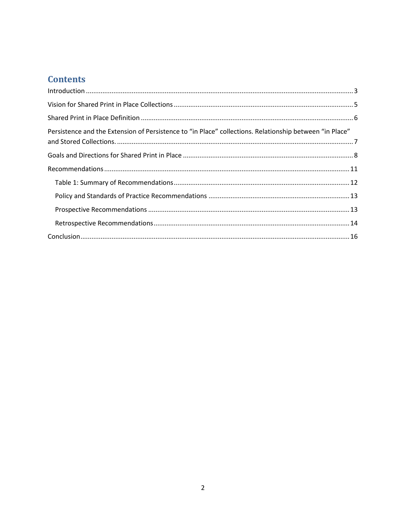# **Contents**

| Persistence and the Extension of Persistence to "in Place" collections. Relationship between "in Place" |  |  |  |  |
|---------------------------------------------------------------------------------------------------------|--|--|--|--|
|                                                                                                         |  |  |  |  |
|                                                                                                         |  |  |  |  |
|                                                                                                         |  |  |  |  |
|                                                                                                         |  |  |  |  |
|                                                                                                         |  |  |  |  |
|                                                                                                         |  |  |  |  |
|                                                                                                         |  |  |  |  |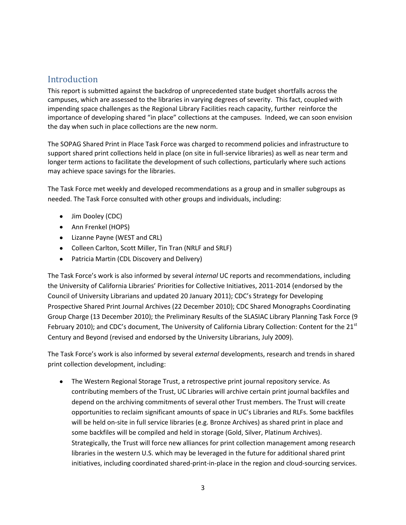### <span id="page-2-0"></span>Introduction

This report is submitted against the backdrop of unprecedented state budget shortfalls across the campuses, which are assessed to the libraries in varying degrees of severity. This fact, coupled with impending space challenges as the Regional Library Facilities reach capacity, further reinforce the importance of developing shared "in place" collections at the campuses. Indeed, we can soon envision the day when such in place collections are the new norm.

The SOPAG Shared Print in Place Task Force was charged to recommend policies and infrastructure to support shared print collections held in place (on site in full-service libraries) as well as near term and longer term actions to facilitate the development of such collections, particularly where such actions may achieve space savings for the libraries.

The Task Force met weekly and developed recommendations as a group and in smaller subgroups as needed. The Task Force consulted with other groups and individuals, including:

- Jim Dooley (CDC)
- Ann Frenkel (HOPS)
- Lizanne Payne (WEST and CRL)
- Colleen Carlton, Scott Miller, Tin Tran (NRLF and SRLF)
- Patricia Martin (CDL Discovery and Delivery)

The Task Force's work is also informed by several *internal* UC reports and recommendations, including the University of California Libraries' Priorities for Collective Initiatives, 2011-2014 (endorsed by the Council of University Librarians and updated 20 January 2011); CDC's Strategy for Developing Prospective Shared Print Journal Archives (22 December 2010); CDC Shared Monographs Coordinating Group Charge (13 December 2010); the Preliminary Results of the SLASIAC Library Planning Task Force (9 February 2010); and CDC's document, The University of California Library Collection: Content for the 21<sup>st</sup> Century and Beyond (revised and endorsed by the University Librarians, July 2009).

The Task Force's work is also informed by several *external* developments, research and trends in shared print collection development, including:

 $\bullet$ The Western Regional Storage Trust, a retrospective print journal repository service. As contributing members of the Trust, UC Libraries will archive certain print journal backfiles and depend on the archiving commitments of several other Trust members. The Trust will create opportunities to reclaim significant amounts of space in UC's Libraries and RLFs. Some backfiles will be held on-site in full service libraries (e.g. Bronze Archives) as shared print in place and some backfiles will be compiled and held in storage (Gold, Silver, Platinum Archives). Strategically, the Trust will force new alliances for print collection management among research libraries in the western U.S. which may be leveraged in the future for additional shared print initiatives, including coordinated shared-print-in-place in the region and cloud-sourcing services.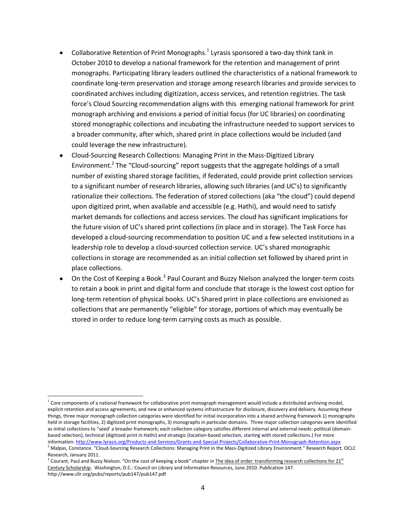- Collaborative Retention of Print Monographs.<sup>1</sup> Lyrasis sponsored a two-day think tank in October 2010 to develop a national framework for the retention and management of print monographs. Participating library leaders outlined the characteristics of a national framework to coordinate long-term preservation and storage among research libraries and provide services to coordinated archives including digitization, access services, and retention registries. The task force's Cloud Sourcing recommendation aligns with this emerging national framework for print monograph archiving and envisions a period of initial focus (for UC libraries) on coordinating stored monographic collections and incubating the infrastructure needed to support services to a broader community, after which, shared print in place collections would be included (and could leverage the new infrastructure).
- Cloud-Sourcing Research Collections: Managing Print in the Mass-Digitized Library Environment.<sup>2</sup> The "Cloud-sourcing" report suggests that the aggregate holdings of a small number of existing shared storage facilities, if federated, could provide print collection services to a significant number of research libraries, allowing such libraries (and UC's) to significantly rationalize their collections. The federation of stored collections (aka "the cloud") could depend upon digitized print, when available and accessible (e.g. Hathi), and would need to satisfy market demands for collections and access services. The cloud has significant implications for the future vision of UC's shared print collections (in place and in storage). The Task Force has developed a cloud-sourcing recommendation to position UC and a few selected institutions in a leadership role to develop a cloud-sourced collection service. UC's shared monographic collections in storage are recommended as an initial collection set followed by shared print in place collections.
- On the Cost of Keeping a Book.<sup>3</sup> Paul Courant and Buzzy Nielson analyzed the longer-term costs to retain a book in print and digital form and conclude that storage is the lowest cost option for long-term retention of physical books. UC's Shared print in place collections are envisioned as collections that are permanently "eligible" for storage, portions of which may eventually be stored in order to reduce long-term carrying costs as much as possible.

 $\overline{\phantom{a}}$ 

 $1$  Core components of a national framework for collaborative print monograph management would include a distributed archiving model, explicit retention and access agreements, and new or enhanced systems infrastructure for disclosure, discovery and delivery. Assuming these things, three major monograph collection categories were identified for initial incorporation into a shared archiving framework 1) monographs held in storage facilities, 2) digitized print monographs, 3) monographs in particular domains. Three major collection categories were identified as initial collections to "seed' a broader framework; each collection category satisfies different internal and external needs: political (domainbased selection), technical (digitized print in Hathi) and strategic (location-based selection, starting with stored collections.) For more information[: http://www.lyrasis.org/Products-and-Services/Grants-and-Special-Projects/Collaborative-Print-Monograph-Retention.aspx](http://www.lyrasis.org/Products-and-Services/Grants-and-Special-Projects/Collaborative-Print-Monograph-Retention.aspx)

<sup>&</sup>lt;sup>2</sup> Malpas, Constance. "Cloud-Sourcing Research Collections: Managing Print in the Mass-Digitized Library Environment." Research Report. OCLC Research, January 2011.

 $3$  Courant, Paul and Buzzy Nielson. "On the cost of keeping a book" chapter in The idea of order: transforming research collections for 21<sup>st</sup> Century Scholarship. Washington, D.C.: Council on Library and Information Resources, June 2010. Publication 147. http://www.clir.org/pubs/reports/pub147/pub147.pdf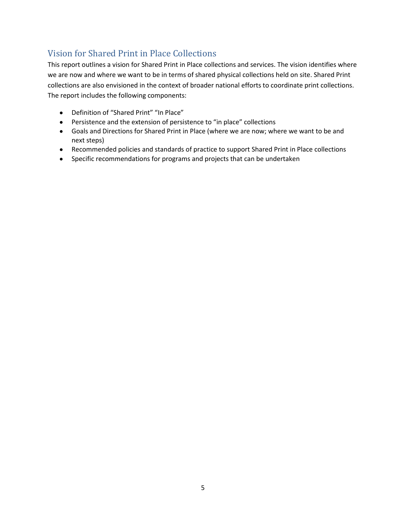## <span id="page-4-0"></span>Vision for Shared Print in Place Collections

This report outlines a vision for Shared Print in Place collections and services. The vision identifies where we are now and where we want to be in terms of shared physical collections held on site. Shared Print collections are also envisioned in the context of broader national efforts to coordinate print collections. The report includes the following components:

- Definition of "Shared Print" "In Place"
- Persistence and the extension of persistence to "in place" collections
- Goals and Directions for Shared Print in Place (where we are now; where we want to be and next steps)
- Recommended policies and standards of practice to support Shared Print in Place collections
- Specific recommendations for programs and projects that can be undertaken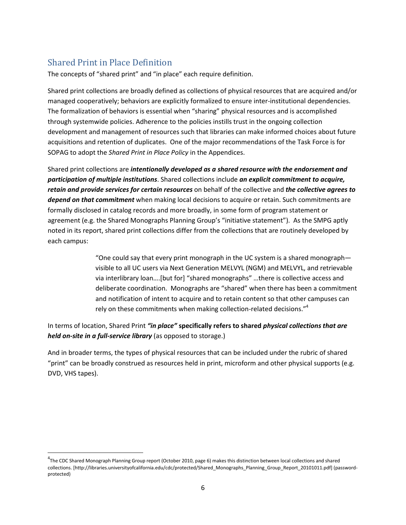## <span id="page-5-0"></span>Shared Print in Place Definition

 $\overline{\phantom{a}}$ 

The concepts of "shared print" and "in place" each require definition.

Shared print collections are broadly defined as collections of physical resources that are acquired and/or managed cooperatively; behaviors are explicitly formalized to ensure inter-institutional dependencies. The formalization of behaviors is essential when "sharing" physical resources and is accomplished through systemwide policies. Adherence to the policies instills trust in the ongoing collection development and management of resources such that libraries can make informed choices about future acquisitions and retention of duplicates. One of the major recommendations of the Task Force is for SOPAG to adopt the *Shared Print in Place Policy* in the Appendices.

Shared print collections are *intentionally developed as a shared resource with the endorsement and participation of multiple institutions*. Shared collections include *an explicit commitment to acquire, retain and provide services for certain resources* on behalf of the collective and *the collective agrees to depend on that commitment* when making local decisions to acquire or retain. Such commitments are formally disclosed in catalog records and more broadly, in some form of program statement or agreement (e.g. the Shared Monographs Planning Group's "initiative statement"). As the SMPG aptly noted in its report, shared print collections differ from the collections that are routinely developed by each campus:

> "One could say that every print monograph in the UC system is a shared monograph visible to all UC users via Next Generation MELVYL (NGM) and MELVYL, and retrievable via interlibrary loan….[but for] "shared monographs" …there is collective access and deliberate coordination. Monographs are "shared" when there has been a commitment and notification of intent to acquire and to retain content so that other campuses can rely on these commitments when making collection-related decisions."<sup>4</sup>

In terms of location, Shared Print *"in place"* **specifically refers to shared** *physical collections that are held on-site in a full-service library* (as opposed to storage.)

And in broader terms, the types of physical resources that can be included under the rubric of shared "print" can be broadly construed as resources held in print, microform and other physical supports (e.g. DVD, VHS tapes).

<sup>&</sup>lt;sup>4</sup>The CDC Shared Monograph Planning Group report (October 2010, page 6) makes this distinction between local collections and shared collections. [http://libraries.universityofcalifornia.edu/cdc/protected/Shared\_Monographs\_Planning\_Group\_Report\_20101011.pdf] (passwordprotected)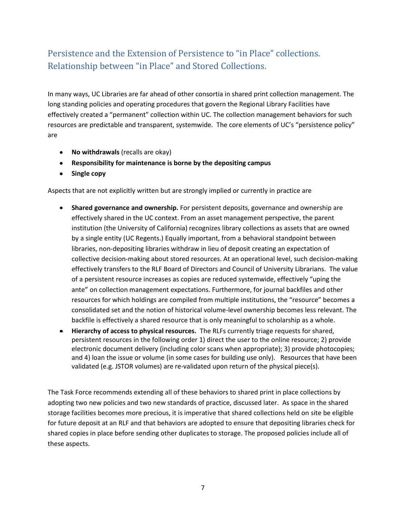## <span id="page-6-0"></span>Persistence and the Extension of Persistence to "in Place" collections. Relationship between "in Place" and Stored Collections.

In many ways, UC Libraries are far ahead of other consortia in shared print collection management. The long standing policies and operating procedures that govern the Regional Library Facilities have effectively created a "permanent" collection within UC. The collection management behaviors for such resources are predictable and transparent, systemwide. The core elements of UC's "persistence policy" are

- **No withdrawals** (recalls are okay)
- **Responsibility for maintenance is borne by the depositing campus**
- **•** Single copy

Aspects that are not explicitly written but are strongly implied or currently in practice are

- **Shared governance and ownership.** For persistent deposits, governance and ownership are effectively shared in the UC context. From an asset management perspective, the parent institution (the University of California) recognizes library collections as assets that are owned by a single entity (UC Regents.) Equally important, from a behavioral standpoint between libraries, non-depositing libraries withdraw in lieu of deposit creating an expectation of collective decision-making about stored resources. At an operational level, such decision-making effectively transfers to the RLF Board of Directors and Council of University Librarians. The value of a persistent resource increases as copies are reduced systemwide, effectively "uping the ante" on collection management expectations. Furthermore, for journal backfiles and other resources for which holdings are compiled from multiple institutions, the "resource" becomes a consolidated set and the notion of historical volume-level ownership becomes less relevant. The backfile is effectively a shared resource that is only meaningful to scholarship as a whole.
- **Hierarchy of access to physical resources.** The RLFs currently triage requests for shared, persistent resources in the following order 1) direct the user to the online resource; 2) provide electronic document delivery (including color scans when appropriate); 3) provide photocopies; and 4) loan the issue or volume (in some cases for building use only). Resources that have been validated (e.g. JSTOR volumes) are re-validated upon return of the physical piece(s).

The Task Force recommends extending all of these behaviors to shared print in place collections by adopting two new policies and two new standards of practice, discussed later. As space in the shared storage facilities becomes more precious, it is imperative that shared collections held on site be eligible for future deposit at an RLF and that behaviors are adopted to ensure that depositing libraries check for shared copies in place before sending other duplicates to storage. The proposed policies include all of these aspects.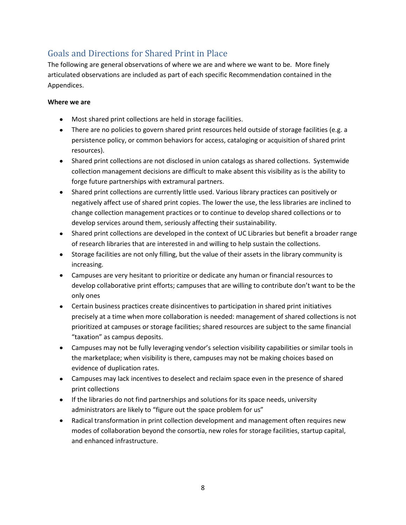### <span id="page-7-0"></span>Goals and Directions for Shared Print in Place

The following are general observations of where we are and where we want to be. More finely articulated observations are included as part of each specific Recommendation contained in the Appendices.

#### **Where we are**

- Most shared print collections are held in storage facilities.
- There are no policies to govern shared print resources held outside of storage facilities (e.g. a persistence policy, or common behaviors for access, cataloging or acquisition of shared print resources).
- Shared print collections are not disclosed in union catalogs as shared collections. Systemwide collection management decisions are difficult to make absent this visibility as is the ability to forge future partnerships with extramural partners.
- Shared print collections are currently little used. Various library practices can positively or negatively affect use of shared print copies. The lower the use, the less libraries are inclined to change collection management practices or to continue to develop shared collections or to develop services around them, seriously affecting their sustainability.
- Shared print collections are developed in the context of UC Libraries but benefit a broader range of research libraries that are interested in and willing to help sustain the collections.
- Storage facilities are not only filling, but the value of their assets in the library community is increasing.
- Campuses are very hesitant to prioritize or dedicate any human or financial resources to develop collaborative print efforts; campuses that are willing to contribute don't want to be the only ones
- Certain business practices create disincentives to participation in shared print initiatives precisely at a time when more collaboration is needed: management of shared collections is not prioritized at campuses or storage facilities; shared resources are subject to the same financial "taxation" as campus deposits.
- Campuses may not be fully leveraging vendor's selection visibility capabilities or similar tools in the marketplace; when visibility is there, campuses may not be making choices based on evidence of duplication rates.
- Campuses may lack incentives to deselect and reclaim space even in the presence of shared print collections
- If the libraries do not find partnerships and solutions for its space needs, university administrators are likely to "figure out the space problem for us"
- Radical transformation in print collection development and management often requires new modes of collaboration beyond the consortia, new roles for storage facilities, startup capital, and enhanced infrastructure.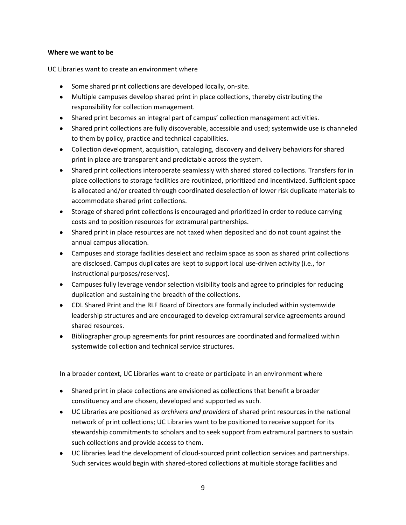#### **Where we want to be**

UC Libraries want to create an environment where

- Some shared print collections are developed locally, on-site.
- Multiple campuses develop shared print in place collections, thereby distributing the responsibility for collection management.
- Shared print becomes an integral part of campus' collection management activities.
- Shared print collections are fully discoverable, accessible and used; systemwide use is channeled to them by policy, practice and technical capabilities.
- Collection development, acquisition, cataloging, discovery and delivery behaviors for shared print in place are transparent and predictable across the system.
- Shared print collections interoperate seamlessly with shared stored collections. Transfers for in place collections to storage facilities are routinized, prioritized and incentivized. Sufficient space is allocated and/or created through coordinated deselection of lower risk duplicate materials to accommodate shared print collections.
- Storage of shared print collections is encouraged and prioritized in order to reduce carrying costs and to position resources for extramural partnerships.
- Shared print in place resources are not taxed when deposited and do not count against the annual campus allocation.
- Campuses and storage facilities deselect and reclaim space as soon as shared print collections are disclosed. Campus duplicates are kept to support local use-driven activity (i.e., for instructional purposes/reserves).
- Campuses fully leverage vendor selection visibility tools and agree to principles for reducing duplication and sustaining the breadth of the collections.
- CDL Shared Print and the RLF Board of Directors are formally included within systemwide leadership structures and are encouraged to develop extramural service agreements around shared resources.
- Bibliographer group agreements for print resources are coordinated and formalized within systemwide collection and technical service structures.

In a broader context, UC Libraries want to create or participate in an environment where

- Shared print in place collections are envisioned as collections that benefit a broader constituency and are chosen, developed and supported as such.
- UC Libraries are positioned as *archivers and providers* of shared print resources in the national network of print collections; UC Libraries want to be positioned to receive support for its stewardship commitments to scholars and to seek support from extramural partners to sustain such collections and provide access to them.
- UC libraries lead the development of cloud-sourced print collection services and partnerships. Such services would begin with shared-stored collections at multiple storage facilities and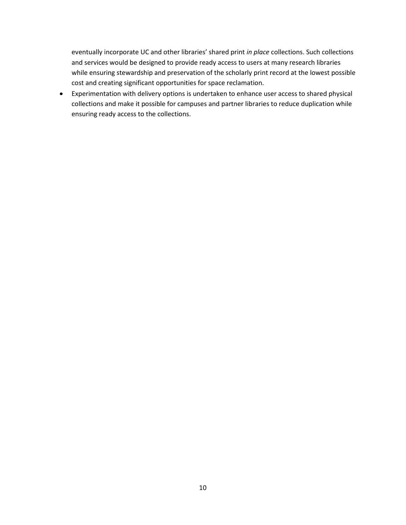eventually incorporate UC and other libraries' shared print *in place* collections. Such collections and services would be designed to provide ready access to users at many research libraries while ensuring stewardship and preservation of the scholarly print record at the lowest possible cost and creating significant opportunities for space reclamation.

Experimentation with delivery options is undertaken to enhance user access to shared physical collections and make it possible for campuses and partner libraries to reduce duplication while ensuring ready access to the collections.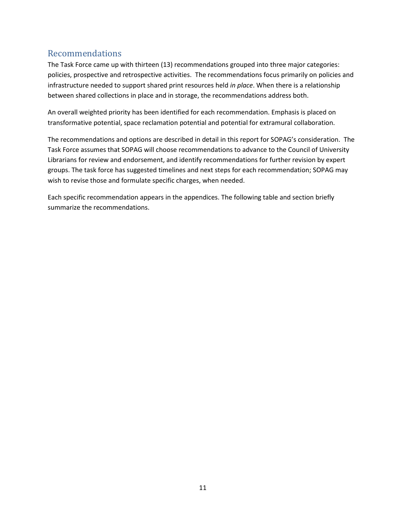### <span id="page-10-0"></span>Recommendations

The Task Force came up with thirteen (13) recommendations grouped into three major categories: policies, prospective and retrospective activities. The recommendations focus primarily on policies and infrastructure needed to support shared print resources held *in place*. When there is a relationship between shared collections in place and in storage, the recommendations address both.

An overall weighted priority has been identified for each recommendation. Emphasis is placed on transformative potential, space reclamation potential and potential for extramural collaboration.

The recommendations and options are described in detail in this report for SOPAG's consideration. The Task Force assumes that SOPAG will choose recommendations to advance to the Council of University Librarians for review and endorsement, and identify recommendations for further revision by expert groups. The task force has suggested timelines and next steps for each recommendation; SOPAG may wish to revise those and formulate specific charges, when needed.

Each specific recommendation appears in the appendices. The following table and section briefly summarize the recommendations.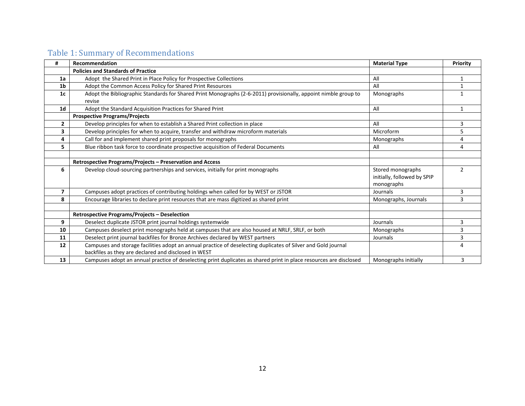# Table 1: Summary of Recommendations

<span id="page-11-0"></span>

| #              | Recommendation                                                                                                     | <b>Material Type</b>        | Priority       |
|----------------|--------------------------------------------------------------------------------------------------------------------|-----------------------------|----------------|
|                | <b>Policies and Standards of Practice</b>                                                                          |                             |                |
| 1a             | Adopt the Shared Print in Place Policy for Prospective Collections                                                 | All                         | $\mathbf{1}$   |
| 1 <sub>b</sub> | Adopt the Common Access Policy for Shared Print Resources                                                          | All                         |                |
| 1 <sub>c</sub> | Adopt the Bibliographic Standards for Shared Print Monographs (2-6-2011) provisionally, appoint nimble group to    | Monographs                  | 1              |
|                | revise                                                                                                             |                             |                |
| 1 <sub>d</sub> | Adopt the Standard Acquisition Practices for Shared Print                                                          | All                         | $\mathbf{1}$   |
|                | <b>Prospective Programs/Projects</b>                                                                               |                             |                |
| $\overline{2}$ | Develop principles for when to establish a Shared Print collection in place                                        | All                         | 3              |
| 3              | Develop principles for when to acquire, transfer and withdraw microform materials                                  | Microform                   | 5              |
| 4              | Call for and implement shared print proposals for monographs                                                       | Monographs                  | 4              |
| 5              | Blue ribbon task force to coordinate prospective acquisition of Federal Documents                                  | All                         | 4              |
|                |                                                                                                                    |                             |                |
|                | Retrospective Programs/Projects - Preservation and Access                                                          |                             |                |
| 6              | Develop cloud-sourcing partnerships and services, initially for print monographs                                   | Stored monographs           | $\overline{2}$ |
|                |                                                                                                                    | initially, followed by SPIP |                |
|                |                                                                                                                    | monographs                  |                |
| 7              | Campuses adopt practices of contributing holdings when called for by WEST or JSTOR                                 | Journals                    | 3              |
| 8              | Encourage libraries to declare print resources that are mass digitized as shared print                             | Monographs, Journals        | 3              |
|                |                                                                                                                    |                             |                |
|                | Retrospective Programs/Projects - Deselection                                                                      |                             |                |
| 9              | Deselect duplicate JSTOR print journal holdings systemwide                                                         | Journals                    | 3              |
| 10             | Campuses deselect print monographs held at campuses that are also housed at NRLF, SRLF, or both                    | Monographs                  | 3              |
| 11             | Deselect print journal backfiles for Bronze Archives declared by WEST partners                                     | Journals                    | 3              |
| 12             | Campuses and storage facilities adopt an annual practice of deselecting duplicates of Silver and Gold journal      |                             | 4              |
|                | backfiles as they are declared and disclosed in WEST                                                               |                             |                |
| 13             | Campuses adopt an annual practice of deselecting print duplicates as shared print in place resources are disclosed | Monographs initially        | 3              |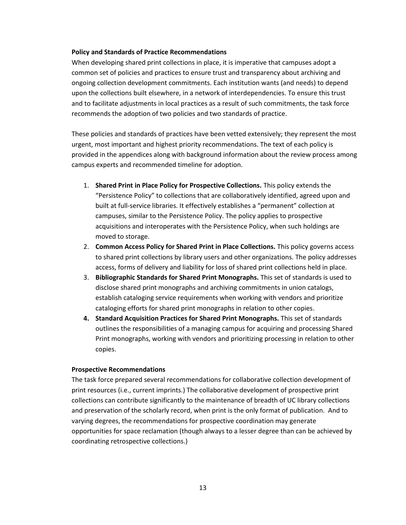#### <span id="page-12-0"></span>**Policy and Standards of Practice Recommendations**

When developing shared print collections in place, it is imperative that campuses adopt a common set of policies and practices to ensure trust and transparency about archiving and ongoing collection development commitments. Each institution wants (and needs) to depend upon the collections built elsewhere, in a network of interdependencies. To ensure this trust and to facilitate adjustments in local practices as a result of such commitments, the task force recommends the adoption of two policies and two standards of practice.

These policies and standards of practices have been vetted extensively; they represent the most urgent, most important and highest priority recommendations. The text of each policy is provided in the appendices along with background information about the review process among campus experts and recommended timeline for adoption.

- 1. **Shared Print in Place Policy for Prospective Collections.** This policy extends the "Persistence Policy" to collections that are collaboratively identified, agreed upon and built at full-service libraries. It effectively establishes a "permanent" collection at campuses, similar to the Persistence Policy. The policy applies to prospective acquisitions and interoperates with the Persistence Policy, when such holdings are moved to storage.
- 2. **Common Access Policy for Shared Print in Place Collections.** This policy governs access to shared print collections by library users and other organizations. The policy addresses access, forms of delivery and liability for loss of shared print collections held in place.
- 3. **Bibliographic Standards for Shared Print Monographs.** This set of standards is used to disclose shared print monographs and archiving commitments in union catalogs, establish cataloging service requirements when working with vendors and prioritize cataloging efforts for shared print monographs in relation to other copies.
- **4. Standard Acquisition Practices for Shared Print Monographs.** This set of standards outlines the responsibilities of a managing campus for acquiring and processing Shared Print monographs, working with vendors and prioritizing processing in relation to other copies.

#### <span id="page-12-1"></span>**Prospective Recommendations**

The task force prepared several recommendations for collaborative collection development of print resources (i.e., current imprints.) The collaborative development of prospective print collections can contribute significantly to the maintenance of breadth of UC library collections and preservation of the scholarly record, when print is the only format of publication. And to varying degrees, the recommendations for prospective coordination may generate opportunities for space reclamation (though always to a lesser degree than can be achieved by coordinating retrospective collections.)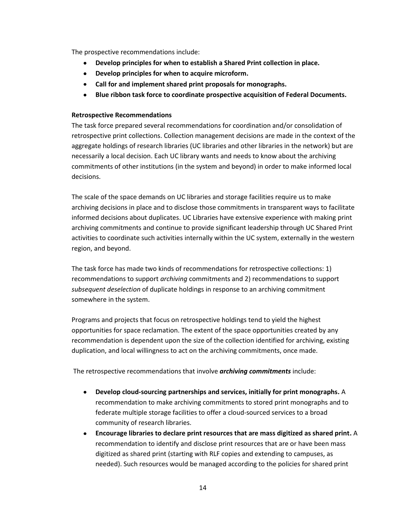The prospective recommendations include:

- **Develop principles for when to establish a Shared Print collection in place.**  $\bullet$
- $\bullet$  . **Develop principles for when to acquire microform.**
- **Call for and implement shared print proposals for monographs.**
- $\bullet$ **Blue ribbon task force to coordinate prospective acquisition of Federal Documents.**

#### <span id="page-13-0"></span>**Retrospective Recommendations**

The task force prepared several recommendations for coordination and/or consolidation of retrospective print collections. Collection management decisions are made in the context of the aggregate holdings of research libraries (UC libraries and other libraries in the network) but are necessarily a local decision. Each UC library wants and needs to know about the archiving commitments of other institutions (in the system and beyond) in order to make informed local decisions.

The scale of the space demands on UC libraries and storage facilities require us to make archiving decisions in place and to disclose those commitments in transparent ways to facilitate informed decisions about duplicates. UC Libraries have extensive experience with making print archiving commitments and continue to provide significant leadership through UC Shared Print activities to coordinate such activities internally within the UC system, externally in the western region, and beyond.

The task force has made two kinds of recommendations for retrospective collections: 1) recommendations to support *archiving* commitments and 2) recommendations to support *subsequent deselection* of duplicate holdings in response to an archiving commitment somewhere in the system.

Programs and projects that focus on retrospective holdings tend to yield the highest opportunities for space reclamation. The extent of the space opportunities created by any recommendation is dependent upon the size of the collection identified for archiving, existing duplication, and local willingness to act on the archiving commitments, once made.

The retrospective recommendations that involve *archiving commitments* include:

- **Develop cloud-sourcing partnerships and services, initially for print monographs.** A  $\bullet$ recommendation to make archiving commitments to stored print monographs and to federate multiple storage facilities to offer a cloud-sourced services to a broad community of research libraries.
- **Encourage libraries to declare print resources that are mass digitized as shared print.** A  $\bullet$ recommendation to identify and disclose print resources that are or have been mass digitized as shared print (starting with RLF copies and extending to campuses, as needed). Such resources would be managed according to the policies for shared print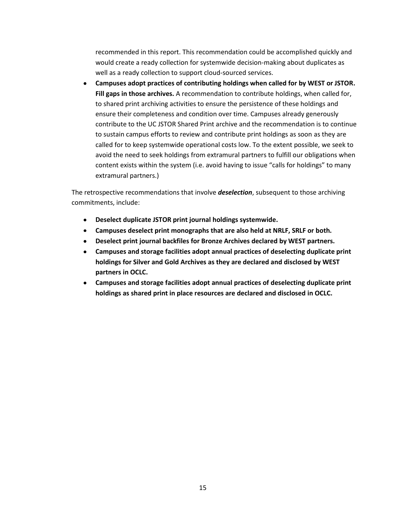recommended in this report. This recommendation could be accomplished quickly and would create a ready collection for systemwide decision-making about duplicates as well as a ready collection to support cloud-sourced services.

**Campuses adopt practices of contributing holdings when called for by WEST or JSTOR.**   $\bullet$ **Fill gaps in those archives.** A recommendation to contribute holdings, when called for, to shared print archiving activities to ensure the persistence of these holdings and ensure their completeness and condition over time. Campuses already generously contribute to the UC JSTOR Shared Print archive and the recommendation is to continue to sustain campus efforts to review and contribute print holdings as soon as they are called for to keep systemwide operational costs low. To the extent possible, we seek to avoid the need to seek holdings from extramural partners to fulfill our obligations when content exists within the system (i.e. avoid having to issue "calls for holdings" to many extramural partners.)

The retrospective recommendations that involve *deselection*, subsequent to those archiving commitments, include:

- **Deselect duplicate JSTOR print journal holdings systemwide.**   $\bullet$
- **Campuses deselect print monographs that are also held at NRLF, SRLF or both.**
- **Deselect print journal backfiles for Bronze Archives declared by WEST partners.**  $\bullet$
- **Campuses and storage facilities adopt annual practices of deselecting duplicate print holdings for Silver and Gold Archives as they are declared and disclosed by WEST partners in OCLC.**
- **Campuses and storage facilities adopt annual practices of deselecting duplicate print holdings as shared print in place resources are declared and disclosed in OCLC.**